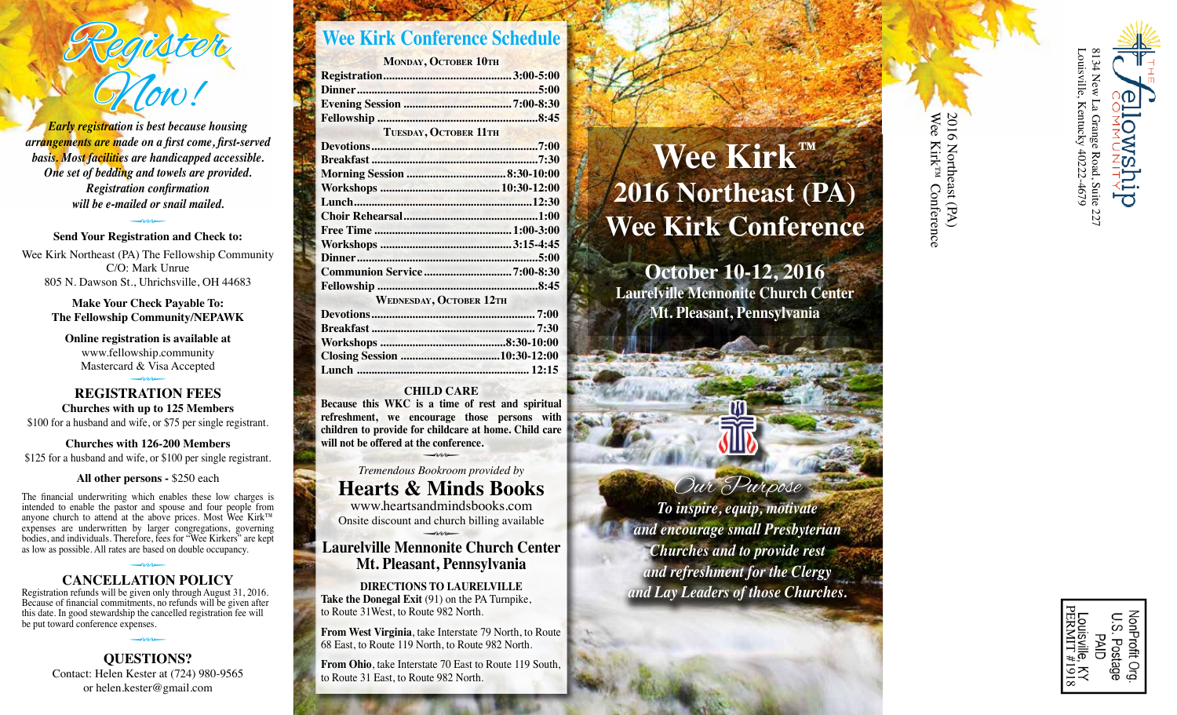

*Early registration is best because housing arrangements are made on a first come, first-served basis. Most facilities are handicapped accessible. One set of bedding and towels are provided. Registration confirmation will be e-mailed or snail mailed.* 

**Send Your Registration and Check to:** Wee Kirk Northeast (PA) The Fellowship Community C/O: Mark Unrue 805 N. Dawson St., Uhrichsville, OH 44683

> **Make Your Check Payable To: The Fellowship Community/NEPAWK**

**Online registration is available at** www.fellowship.community Mastercard & Visa Accepted

**REGISTRATION FEES Churches with up to 125 Members** \$100 for a husband and wife, or \$75 per single registrant.

**Churches with 126-200 Members** \$125 for a husband and wife, or \$100 per single registrant.

**All other persons -** \$250 each

The financial underwriting which enables these low charges is intended to enable the pastor and spouse and four people from anyone church to attend at the above prices. Most Wee Kirk™ expenses are underwritten by larger congregations, governing bodies, and individuals. Therefore, fees for "Wee Kirkers" are kept as low as possible. All rates are based on double occupancy.

## **CANCELLATION POLICY** <sup>Q</sup>

Registration refunds will be given only through August 31, 2016. Because of financial commitments, no refunds will be given after this date. In good stewardship the cancelled registration fee will be put toward conference expenses.

> **QUESTIONS?** Contact: Helen Kester at (724) 980-9565 or helen.kester@gmail.com

## **Wee Kirk Conference Schedule**

| <b>MONDAY, OCTOBER 10TH</b>                                                                                                                                                                                                                                               |             |
|---------------------------------------------------------------------------------------------------------------------------------------------------------------------------------------------------------------------------------------------------------------------------|-------------|
|                                                                                                                                                                                                                                                                           |             |
|                                                                                                                                                                                                                                                                           |             |
|                                                                                                                                                                                                                                                                           |             |
|                                                                                                                                                                                                                                                                           |             |
| <b>TUESDAY, OCTOBER 11TH</b>                                                                                                                                                                                                                                              |             |
|                                                                                                                                                                                                                                                                           |             |
|                                                                                                                                                                                                                                                                           |             |
|                                                                                                                                                                                                                                                                           |             |
| $\mathbf{X}$ is a set of $\mathbf{X}$ is a set of $\mathbf{X}$ is a set of $\mathbf{X}$ is a set of $\mathbf{X}$ is a set of $\mathbf{X}$ is a set of $\mathbf{X}$ is a set of $\mathbf{X}$ is a set of $\mathbf{X}$ is a set of $\mathbf{X}$ is a set of $\mathbf{X}$ is | 10.30.10.00 |

| <b>WEDNESDAY, OCTOBER 12TH</b> |
|--------------------------------|
|                                |
|                                |
|                                |
|                                |

#### **CHILD CARE**

**Because this WKC is a time of rest and spiritual refreshment, we encourage those persons with children to provide for childcare at home. Child care will not be offered at the conference.**

**Lunch ........................................................... 12:15**

**Tremendous Bookroom provided by Hearts & Minds Books**

www.heartsandmindsbooks.com Onsite discount and church billing available

**Laurelville Mennonite Church Center Mt. Pleasant, Pennsylvania** 

**DIRECTIONS TO LAURELVILLE Take the Donegal Exit** (91) on the PA Turnpike, to Route 31West, to Route 982 North.

**From West Virginia**, take Interstate 79 North, to Route 68 East, to Route 119 North, to Route 982 North.

**From Ohio**, take Interstate 70 East to Route 119 South, to Route 31 East, to Route 982 North.

# **Wee Kirk ™ 2016 Northeast (PA) Wee Kirk Conference**

**October 10-12, 2016 Laurelville Mennonite Church Center Mt. Pleasant, Pennsylvania**

Our Purpose *To inspire, equip, motivate and encourage small Presbyterian Churches and to provide rest and refreshment for the Clergy and Lay Leaders of those Churches.*

Wee Kirk™ Conference 2016 Northeast (PA) 2016 Northeast (PA)Wee Kirk<sup>rM</sup> Conference

> PERMIT #1918 lonProfit တ **PAID** Postag Q



Louisville, Kentucky 40222-4679

Kentucky 40222-4679

ousville,